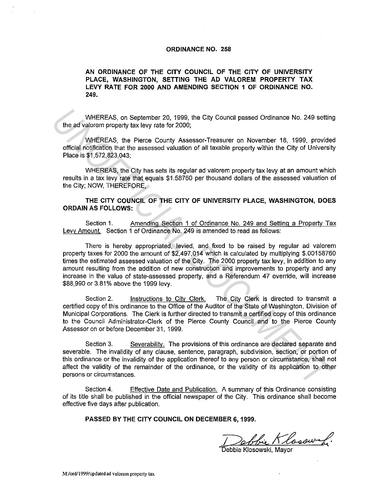## **ORDINANCE NO. 258**

## **AN ORDINANCE OF THE CITY COUNCIL OF THE CITY OF UNIVERSITY PLACE, WASHINGTON, SETTING THE AD VALOREM PROPERTY TAX LEVY RATE FOR 2000 AND AMENDING SECTION 1 OF ORDINANCE NO. 249.**

WHEREAS, on September 20, 1999, the City Council passed Ordinance No. 249 setting the ad valorem property tax levy rate for 2000;

WHEREAS, the Pierce County Assessor-Treasurer on November 18, 1999, provided official notification that the assessed valuation of all taxable property within the City of University Place is \$1,572,823,043;

WHEREAS, the City has sets its regular ad valorem property tax levy at an amount which results in a tax levy rate that equals \$1.58760 per thousand dollars of the assessed valuation of the City; NOW, THEREFORE,

**THE CITY COUNCIL OF THE CITY OF UNIVERSITY PLACE, WASHINGTON, DOES ORDAIN AS FOLLOWS:** 

Section 1. Amending Section 1 of Ordinance No. 249 and Setting a Property Tax Levy Amount. Section 1 of Ordinance No. 249 is amended to read as follows:

There is hereby appropriated, levied, and fixed to be raised by regular ad valorem property taxes for 2000 the amount of \$2,497,014 which is calculated by multiplying \$.00158760 times the estimated assessed valuation of the City. The 2000 property tax levy, in addition to any amount resulting from the addition of new construction and improvements to property and any increase in the value of state-assessed property, and a Referendum 47 override, will increase \$88,990 or 3.81% above the 1999 levy. WHEREAS, on September 20, 1999, the City Council passed Ordinance No. 249 setting<br> **UNIERREAS**, the Pierce County Assessor-Treasurer on November 18, 1999, provide<br>
Uniform property tax levy rate for 2000;<br>
Uniform assessed

Section 2. Instructions to City Clerk. The City Clerk is directed to transmit a certified copy of this ordinance to the Office of the Auditor of the State of Washington, Division of Municipal Corporations. The Clerk is further directed to transmit a certified copy of this ordinance to the Council Administrator-Clerk of the Pierce County Council and to the Pierce County Assessor on or before December 31, 1999.

Section 3. Severability. The provisions of this ordinance are declared separate and severable. The invalidity of any clause, sentence, paragraph, subdivision, section, or portion of this ordinance or the invalidity of the application thereof to any person or circumstance, shall not affect the validity of the remainder of the ordinance, or the validity of its application to other persons or circumstances.

Section 4. Effective Date and Publication. A summary of this Ordinance consisting of its title shall be published in the official newspaper of the City. This ordinance shall become effective five days after publication.

**PASSED BY THE CITY COUNCIL ON DECEMBER 6, 1999.** 

Debbie Klosowski.